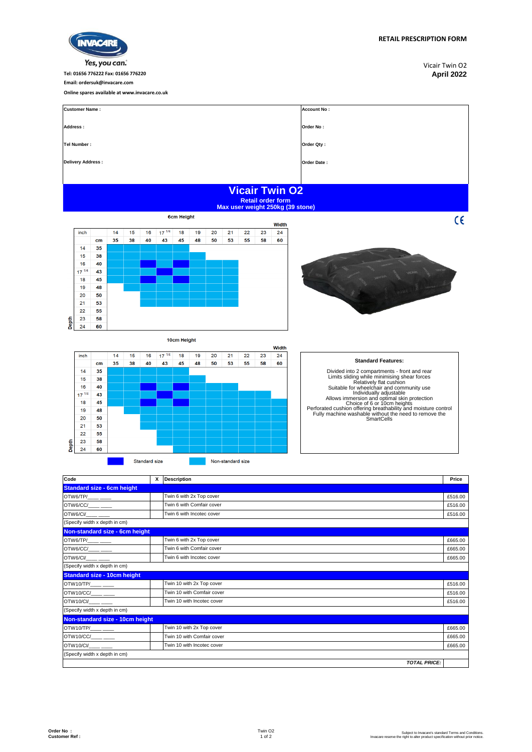| Yes, you can.              |                   |    |                              |                                               |    |            |    |            |    |    |            |                    |                                                                                       | Vicair Twin O2     |  |
|----------------------------|-------------------|----|------------------------------|-----------------------------------------------|----|------------|----|------------|----|----|------------|--------------------|---------------------------------------------------------------------------------------|--------------------|--|
|                            |                   |    |                              | Tel: 01656 776222 Fax: 01656 776220           |    |            |    | April 2022 |    |    |            |                    |                                                                                       |                    |  |
|                            |                   |    | Email: ordersuk@invacare.com |                                               |    |            |    |            |    |    |            |                    |                                                                                       |                    |  |
|                            |                   |    |                              | Online spares available at www.invacare.co.uk |    |            |    |            |    |    |            |                    |                                                                                       |                    |  |
| <b>Customer Name:</b>      |                   |    |                              |                                               |    |            |    |            |    |    |            |                    |                                                                                       | <b>Account No:</b> |  |
| Address:                   |                   |    |                              |                                               |    |            |    |            |    |    |            |                    |                                                                                       | Order No:          |  |
|                            | Tel Number:       |    |                              |                                               |    |            |    |            |    |    | Order Qty: |                    |                                                                                       |                    |  |
|                            | Delivery Address: |    |                              |                                               |    |            |    |            |    |    |            | <b>Order Date:</b> |                                                                                       |                    |  |
|                            |                   |    |                              |                                               |    |            |    |            |    |    |            |                    |                                                                                       |                    |  |
|                            |                   |    |                              |                                               |    |            |    |            |    |    |            |                    | <b>Vicair Twin O2</b><br><b>Retail order form</b><br>Max user weight 250kg (39 stone) |                    |  |
| <b>6cm Height</b><br>Width |                   |    |                              |                                               |    |            |    |            |    |    |            | CE                 |                                                                                       |                    |  |
|                            | inch              |    | 14                           | 15                                            | 16 | $17^{1/4}$ | 18 | 19         | 20 | 21 | 22         | 23                 | 24                                                                                    |                    |  |
|                            |                   | cm | 35                           | 38                                            | 40 | 43         | 45 | 48         | 50 | 53 | 55         | 58                 | 60                                                                                    |                    |  |



**INVACARE** 

Width  $16 - 17^{1/4}$  $inch$  $\overline{14}$  $15$  $18$  $19$  $\overline{20}$  $\overline{21}$  $\overline{22}$  $\overline{23}$  $24$  $\frac{11}{43}$  $\mathbf{cm}$ 35 38 40 45 48 50 53 55 58 60  $14$ 35  $\overline{\mathbf{15}}$ 38  $16$  $40$  $\frac{18}{17}$ 43 18 45 19 48  $20$ 50  $21$ 53  $\overline{22}$ 55 Depth 23 58  $24$ 60

10cm Height

Standard size

## **Standard Features:**

Divided into 2 compartments - front and rear<br>
Limits sliding while minimising shear forces<br>
Relatively flat cushion<br>
Suitable for wheelchair and community use<br>
Individually adjustable<br>
Allows immersion and optimal skin pro

| Code                                                                                                                                                                                                                                                                                                                                                                                        | x | <b>Description</b>         | Price   |
|---------------------------------------------------------------------------------------------------------------------------------------------------------------------------------------------------------------------------------------------------------------------------------------------------------------------------------------------------------------------------------------------|---|----------------------------|---------|
| <b>Standard size - 6cm height</b>                                                                                                                                                                                                                                                                                                                                                           |   |                            |         |
| $OTW6/TP/\_\_$                                                                                                                                                                                                                                                                                                                                                                              |   | Twin 6 with 2x Top cover   | £516.00 |
| $\begin{picture}(150,10) \put(0,0){\dashbox{0.5}(10,0){ }} \put(150,0){\circle{10}} \put(150,0){\circle{10}} \put(150,0){\circle{10}} \put(150,0){\circle{10}} \put(150,0){\circle{10}} \put(150,0){\circle{10}} \put(150,0){\circle{10}} \put(150,0){\circle{10}} \put(150,0){\circle{10}} \put(150,0){\circle{10}} \put(150,0){\circle{10}} \put(150,0){\circle{10}} \put(150,$           |   | Twin 6 with Comfair cover  | £516.00 |
| OTW6/CI/                                                                                                                                                                                                                                                                                                                                                                                    |   | Twin 6 with Incotec cover  | £516.00 |
| (Specify width x depth in cm)                                                                                                                                                                                                                                                                                                                                                               |   |                            |         |
| Non-standard size - 6cm height                                                                                                                                                                                                                                                                                                                                                              |   |                            |         |
| OTW6/TP/____ ____                                                                                                                                                                                                                                                                                                                                                                           |   | Twin 6 with 2x Top cover   | £665.00 |
| $\begin{picture}(150,10) \put(0,0){\dashbox{0.5}(10,0){ }} \put(15,0){\circle{10}} \put(15,0){\circle{10}} \put(15,0){\circle{10}} \put(15,0){\circle{10}} \put(15,0){\circle{10}} \put(15,0){\circle{10}} \put(15,0){\circle{10}} \put(15,0){\circle{10}} \put(15,0){\circle{10}} \put(15,0){\circle{10}} \put(15,0){\circle{10}} \put(15,0){\circle{10}} \put(15,0){\circle{10}} \put(15$ |   | Twin 6 with Comfair cover  | £665.00 |
| OTW6/CI/____ ___                                                                                                                                                                                                                                                                                                                                                                            |   | Twin 6 with Incotec cover  | £665.00 |
| (Specify width x depth in cm)                                                                                                                                                                                                                                                                                                                                                               |   |                            |         |
| <b>Standard size - 10cm height</b>                                                                                                                                                                                                                                                                                                                                                          |   |                            |         |
| OTW10/TP/____ ____                                                                                                                                                                                                                                                                                                                                                                          |   | Twin 10 with 2x Top cover  | £516.00 |
| OTW10/CC/____ ___                                                                                                                                                                                                                                                                                                                                                                           |   | Twin 10 with Comfair cover | £516.00 |
| OTW10/CI/                                                                                                                                                                                                                                                                                                                                                                                   |   | Twin 10 with Incotec cover | £516.00 |
| (Specify width x depth in cm)                                                                                                                                                                                                                                                                                                                                                               |   |                            |         |
| Non-standard size - 10cm height                                                                                                                                                                                                                                                                                                                                                             |   |                            |         |
| OTW10/TP/____ ____                                                                                                                                                                                                                                                                                                                                                                          |   | Twin 10 with 2x Top cover  | £665.00 |
| $\begin{picture}(150,10) \put(0,0){\dashbox{0.5}(10,0){ }} \put(15,0){\circle{10}} \put(15,0){\circle{10}} \put(15,0){\circle{10}} \put(15,0){\circle{10}} \put(15,0){\circle{10}} \put(15,0){\circle{10}} \put(15,0){\circle{10}} \put(15,0){\circle{10}} \put(15,0){\circle{10}} \put(15,0){\circle{10}} \put(15,0){\circle{10}} \put(15,0){\circle{10}} \put(15,0){\circle{10}} \put(15$ |   | Twin 10 with Comfair cover | £665.00 |
| OTW10/CI/                                                                                                                                                                                                                                                                                                                                                                                   |   | Twin 10 with Incotec cover | £665.00 |
| (Specify width x depth in cm)                                                                                                                                                                                                                                                                                                                                                               |   |                            |         |
|                                                                                                                                                                                                                                                                                                                                                                                             |   | <b>TOTAL PRICE:</b>        |         |

Non-standard size